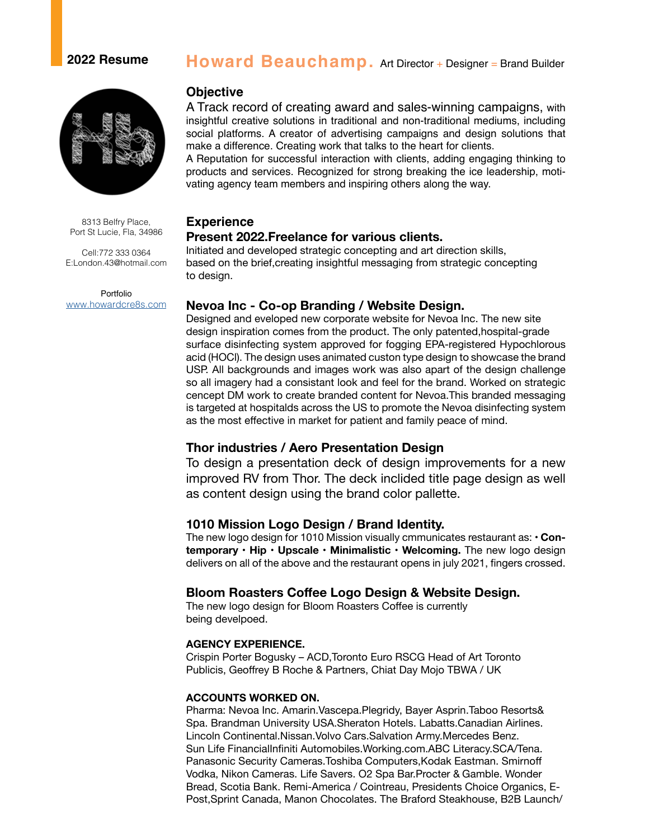# **2022 Resume Howard Beauchamp.** Art Director + Designer = Brand Builder



8313 Belfry Place, Port St Lucie, Fla, 34986

Cell:772 333 0364 E:London.43@hotmail.com

Portfolio www.howardcre8s.com

## **Objective**

A Track record of creating award and sales-winning campaigns, with insightful creative solutions in traditional and non-traditional mediums, including social platforms. A creator of advertising campaigns and design solutions that make a difference. Creating work that talks to the heart for clients.

A Reputation for successful interaction with clients, adding engaging thinking to products and services. Recognized for strong breaking the ice leadership, motivating agency team members and inspiring others along the way.

## **Experience**

#### **Present 2022.Freelance for various clients.**

Initiated and developed strategic concepting and art direction skills, based on the brief,creating insightful messaging from strategic concepting to design.

## **Nevoa Inc - Co-op Branding / Website Design.**

Designed and eveloped new corporate website for Nevoa Inc. The new site design inspiration comes from the product. The only patented,hospital-grade surface disinfecting system approved for fogging EPA-registered Hypochlorous acid (HOCl). The design uses animated custon type design to showcase the brand USP. All backgrounds and images work was also apart of the design challenge so all imagery had a consistant look and feel for the brand. Worked on strategic cencept DM work to create branded content for Nevoa.This branded messaging is targeted at hospitalds across the US to promote the Nevoa disinfecting system as the most effective in market for patient and family peace of mind.

## **Thor industries / Aero Presentation Design**

To design a presentation deck of design improvements for a new improved RV from Thor. The deck inclided title page design as well as content design using the brand color pallette.

### **1010 Mission Logo Design / Brand Identity.**

The new logo design for 1010 Mission visually cmmunicates restaurant as: • **Contemporary** • **Hip • Upscale • Minimalistic • Welcoming.** The new logo design delivers on all of the above and the restaurant opens in july 2021, fingers crossed.

## **Bloom Roasters Coffee Logo Design & Website Design.**

The new logo design for Bloom Roasters Coffee is currently being develpoed.

#### **AGENCY EXPERIENCE.**

Crispin Porter Bogusky – ACD,Toronto Euro RSCG Head of Art Toronto Publicis, Geoffrey B Roche & Partners, Chiat Day Mojo TBWA / UK

#### **ACCOUNTS WORKED ON.**

Pharma: Nevoa Inc. Amarin.Vascepa.Plegridy, Bayer Asprin.Taboo Resorts& Spa. Brandman University USA.Sheraton Hotels. Labatts.Canadian Airlines. Lincoln Continental.Nissan.Volvo Cars.Salvation Army.Mercedes Benz. Sun Life FinancialInfiniti Automobiles.Working.com.ABC Literacy.SCA/Tena. Panasonic Security Cameras.Toshiba Computers,Kodak Eastman. Smirnoff Vodka, Nikon Cameras. Life Savers. O2 Spa Bar.Procter & Gamble. Wonder Bread, Scotia Bank. Remi-America / Cointreau, Presidents Choice Organics, E-Post,Sprint Canada, Manon Chocolates. The Braford Steakhouse, B2B Launch/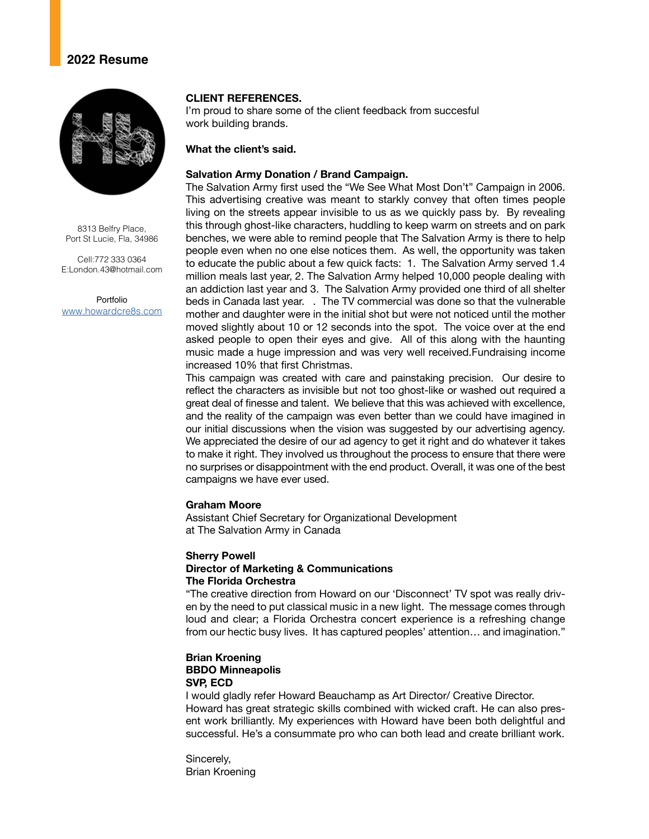## **2022 Resume**



8313 Belfry Place, Port St Lucie, Fla, 34986

Cell:772 333 0364 E:London.43@hotmail.com

Portfolio www.howardcre8s.com

#### **CLIENT REFERENCES.**

I'm proud to share some of the client feedback from succesful work building brands.

#### **What the client's said.**

#### **Salvation Army Donation / Brand Campaign.**

The Salvation Army first used the "We See What Most Don't" Campaign in 2006. This advertising creative was meant to starkly convey that often times people living on the streets appear invisible to us as we quickly pass by. By revealing this through ghost-like characters, huddling to keep warm on streets and on park benches, we were able to remind people that The Salvation Army is there to help people even when no one else notices them. As well, the opportunity was taken to educate the public about a few quick facts: 1. The Salvation Army served 1.4 million meals last year, 2. The Salvation Army helped 10,000 people dealing with an addiction last year and 3. The Salvation Army provided one third of all shelter beds in Canada last year. . The TV commercial was done so that the vulnerable mother and daughter were in the initial shot but were not noticed until the mother moved slightly about 10 or 12 seconds into the spot. The voice over at the end asked people to open their eyes and give. All of this along with the haunting music made a huge impression and was very well received.Fundraising income increased 10% that first Christmas.

This campaign was created with care and painstaking precision. Our desire to reflect the characters as invisible but not too ghost-like or washed out required a great deal of finesse and talent. We believe that this was achieved with excellence, and the reality of the campaign was even better than we could have imagined in our initial discussions when the vision was suggested by our advertising agency. We appreciated the desire of our ad agency to get it right and do whatever it takes to make it right. They involved us throughout the process to ensure that there were no surprises or disappointment with the end product. Overall, it was one of the best campaigns we have ever used.

#### **Graham Moore**

Assistant Chief Secretary for Organizational Development at The Salvation Army in Canada

### **Sherry Powell Director of Marketing & Communications The Florida Orchestra**

"The creative direction from Howard on our 'Disconnect' TV spot was really driven by the need to put classical music in a new light. The message comes through loud and clear; a Florida Orchestra concert experience is a refreshing change from our hectic busy lives. It has captured peoples' attention… and imagination."

### **Brian Kroening BBDO Minneapolis SVP, ECD**

I would gladly refer Howard Beauchamp as Art Director/ Creative Director. Howard has great strategic skills combined with wicked craft. He can also present work brilliantly. My experiences with Howard have been both delightful and successful. He's a consummate pro who can both lead and create brilliant work.

Sincerely, Brian Kroening